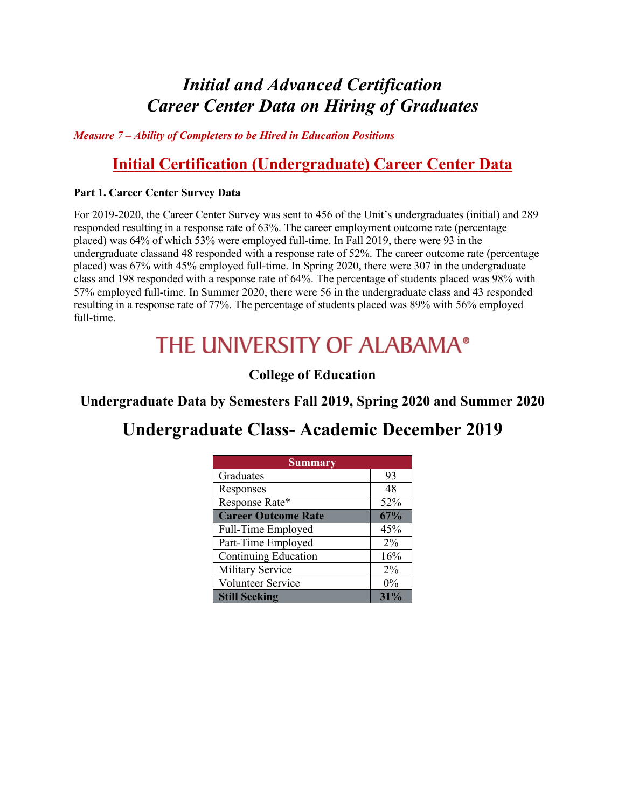### *Initial and Advanced Certification Career Center Data on Hiring of Graduates*

*Measure 7 – Ability of Completers to be Hired in Education Positions*

#### **Initial Certification (Undergraduate) Career Center Data**

#### **Part 1. Career Center Survey Data**

For 2019-2020, the Career Center Survey was sent to 456 of the Unit's undergraduates (initial) and 289 responded resulting in a response rate of 63%. The career employment outcome rate (percentage placed) was 64% of which 53% were employed full-time. In Fall 2019, there were 93 in the undergraduate classand 48 responded with a response rate of 52%. The career outcome rate (percentage placed) was 67% with 45% employed full-time. In Spring 2020, there were 307 in the undergraduate class and 198 responded with a response rate of 64%. The percentage of students placed was 98% with 57% employed full-time. In Summer 2020, there were 56 in the undergraduate class and 43 responded resulting in a response rate of 77%. The percentage of students placed was 89% with 56% employed full-time.

# THE UNIVERSITY OF ALABAMA®

#### **College of Education**

**Undergraduate Data by Semesters Fall 2019, Spring 2020 and Summer 2020**

### **Undergraduate Class- Academic December 2019**

| <b>Summary</b>             |       |
|----------------------------|-------|
| Graduates                  | 93    |
| Responses                  | 48    |
| Response Rate*             | 52%   |
| <b>Career Outcome Rate</b> | 67%   |
| Full-Time Employed         | 45%   |
| Part-Time Employed         | $2\%$ |
| Continuing Education       | 16%   |
| Military Service           | 2%    |
| Volunteer Service          | $0\%$ |
| <b>Still Seeking</b>       | 31%   |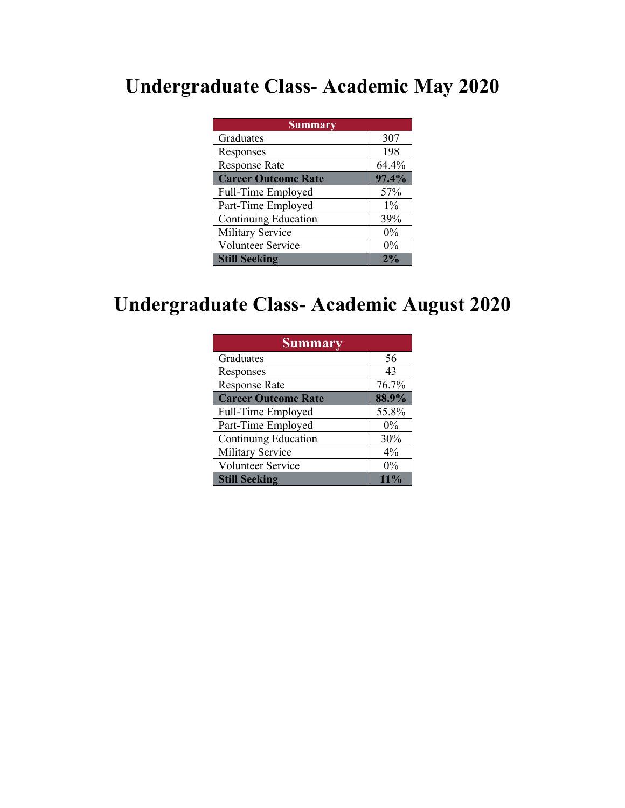## **Undergraduate Class- Academic May 2020**

| <b>Summary</b>              |       |
|-----------------------------|-------|
| Graduates                   | 307   |
| Responses                   | 198   |
| <b>Response Rate</b>        | 64.4% |
| <b>Career Outcome Rate</b>  | 97.4% |
| Full-Time Employed          | 57%   |
| Part-Time Employed          | $1\%$ |
| <b>Continuing Education</b> | 39%   |
| Military Service            | $0\%$ |
| Volunteer Service           | $0\%$ |
| <b>Still Seeking</b>        | 2%    |

## **Undergraduate Class- Academic August 2020**

| <b>Summary</b>              |       |
|-----------------------------|-------|
| Graduates                   | 56    |
| Responses                   | 43    |
| <b>Response Rate</b>        | 76.7% |
| <b>Career Outcome Rate</b>  | 88.9% |
| Full-Time Employed          | 55.8% |
| Part-Time Employed          | $0\%$ |
| <b>Continuing Education</b> | 30%   |
| Military Service            | $4\%$ |
| Volunteer Service           | $0\%$ |
| <b>Still Seeking</b>        | 11%   |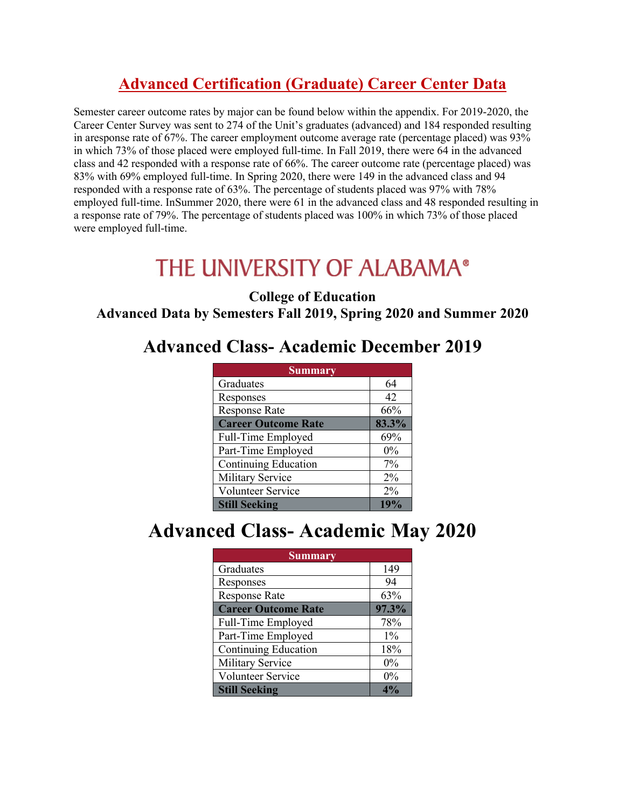### **Advanced Certification (Graduate) Career Center Data**

Semester career outcome rates by major can be found below within the appendix. For 2019-2020, the Career Center Survey was sent to 274 of the Unit's graduates (advanced) and 184 responded resulting in aresponse rate of 67%. The career employment outcome average rate (percentage placed) was 93% in which 73% of those placed were employed full-time. In Fall 2019, there were 64 in the advanced class and 42 responded with a response rate of 66%. The career outcome rate (percentage placed) was 83% with 69% employed full-time. In Spring 2020, there were 149 in the advanced class and 94 responded with a response rate of 63%. The percentage of students placed was 97% with 78% employed full-time. InSummer 2020, there were 61 in the advanced class and 48 responded resulting in a response rate of 79%. The percentage of students placed was 100% in which 73% of those placed were employed full-time.

# THE UNIVERSITY OF ALABAMA®

#### **College of Education Advanced Data by Semesters Fall 2019, Spring 2020 and Summer 2020**

### **Advanced Class- Academic December 2019**

| <b>Summary</b>             |       |
|----------------------------|-------|
| Graduates                  | 64    |
| Responses                  | 42    |
| <b>Response Rate</b>       | 66%   |
| <b>Career Outcome Rate</b> | 83.3% |
| Full-Time Employed         | 69%   |
| Part-Time Employed         | 0%    |
| Continuing Education       | 7%    |
| Military Service           | $2\%$ |
| Volunteer Service          | 2%    |
| <b>Still Seeking</b>       | 19%   |

# **Advanced Class- Academic May 2020**

| <b>Summary</b>              |       |
|-----------------------------|-------|
| Graduates                   | 149   |
| Responses                   | 94    |
| <b>Response Rate</b>        | 63%   |
| <b>Career Outcome Rate</b>  | 97.3% |
| Full-Time Employed          | 78%   |
| Part-Time Employed          | $1\%$ |
| <b>Continuing Education</b> | 18%   |
| Military Service            | $0\%$ |
| Volunteer Service           | $0\%$ |
| <b>Still Seeking</b>        |       |